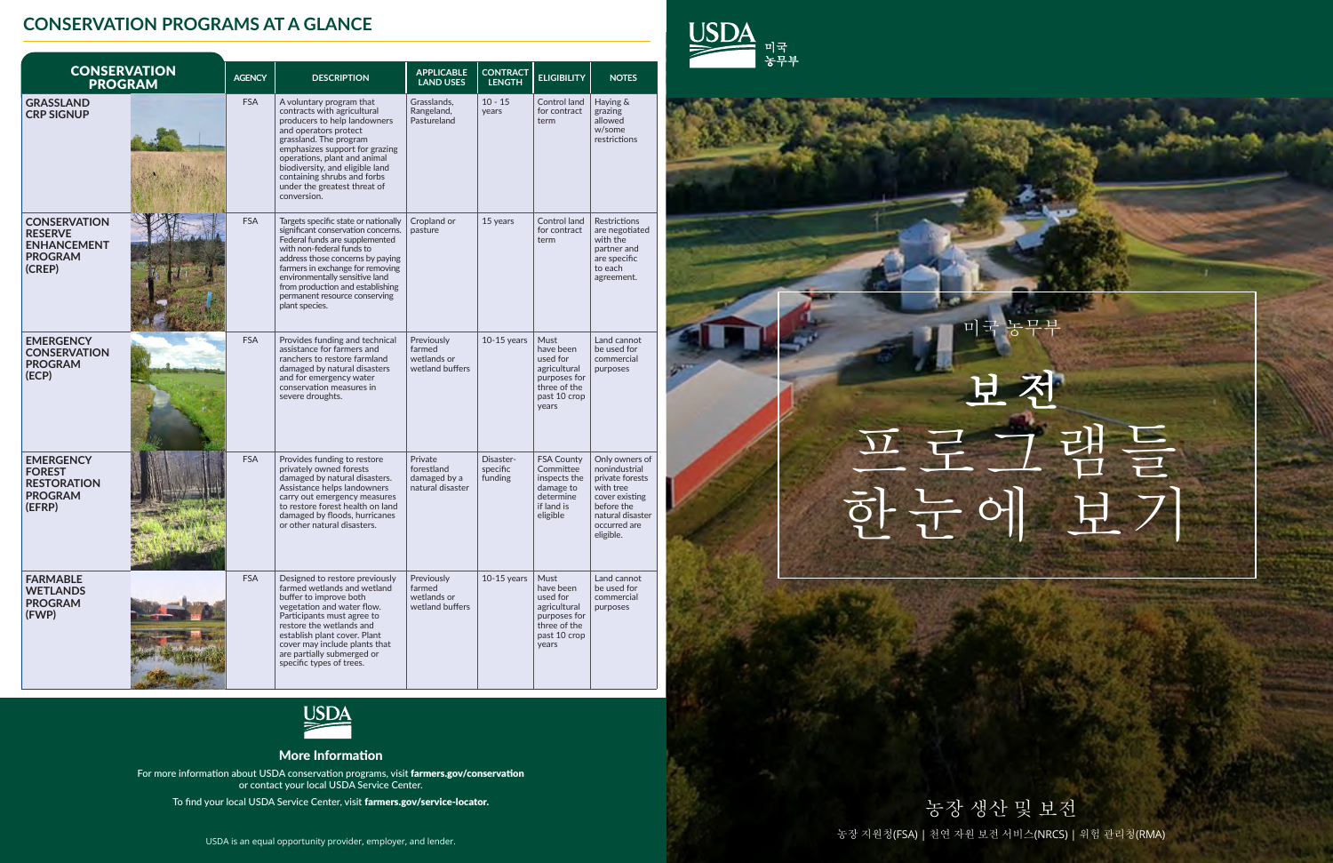

# 프로그램들 한눈에 보기 보 전

미국

### 농장 생산 및 보전

농장 지원청(FSA) | 천연 자원 보전 서비스(NRCS) | 위험 관리청(RMA)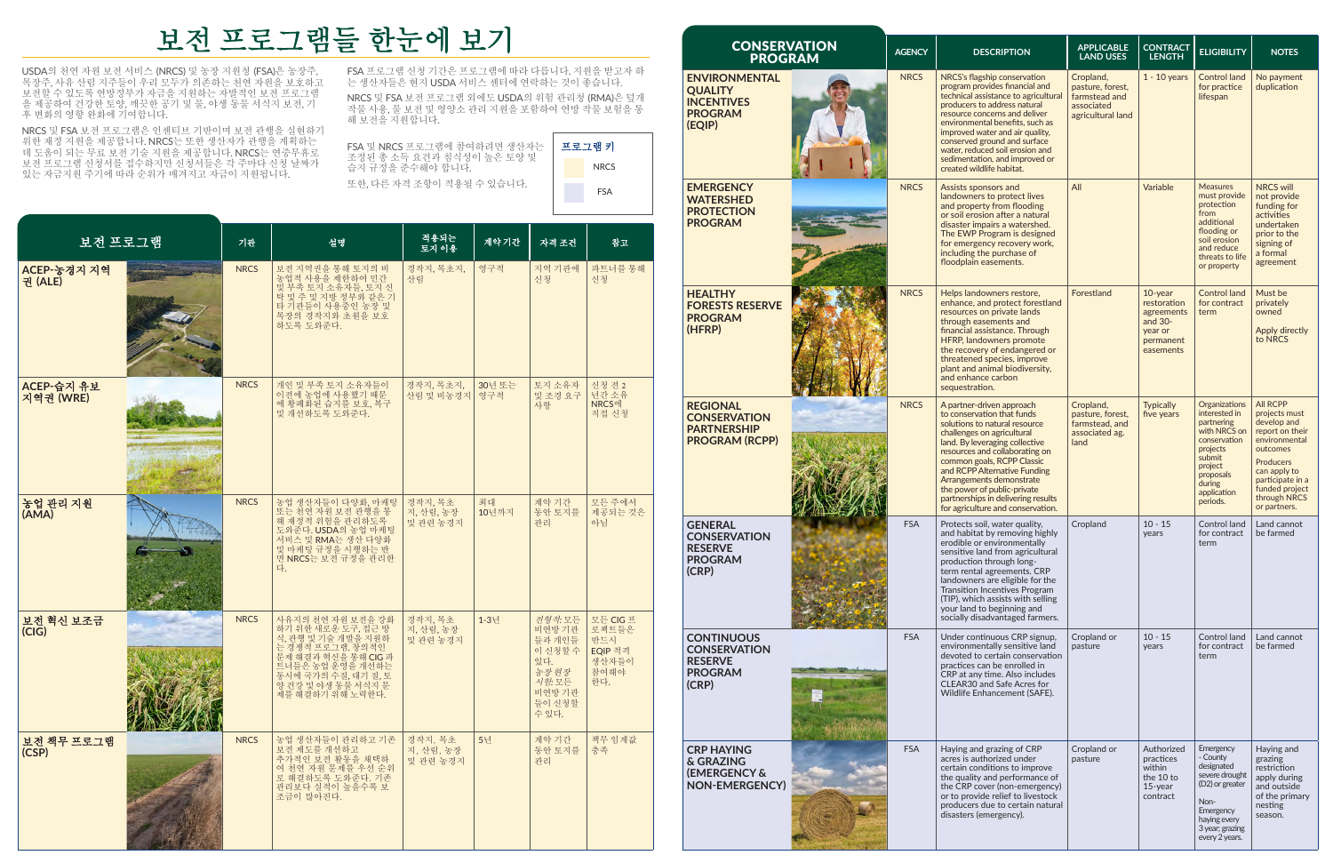# 보전 프로그램들 한눈에 보기

USDA의 천연 자원 보전 서비스 (NRCS) 및 농장 지원청 (FSA)은 농장주, 목장주, 사유 산림 지주들이 우리 모두가 의존하는 천연 자원을 보호하고 보전할 수 있도록 연방정부가 자금을 지원하는 자발적인 보전 프로그램 을 제공하여 건강한 토양, 깨끗한 공기 및 물, 야생 동물 서식지 보전, 기 후 변화의 영향 완화에 기여합니다.

NRCS 및 FSA 보전 프로그램은 인센티브 기반이며 보전 관행을 실현하기 위한 재정 지원을 제공합니다. NRCS는 또한 생산자가 관행을 계획하는 데 도움이 되는 무료 보전 기술 지원을 제공합니다. NRCS는 연중무휴로 보전 프로그램 신청서를 접수하지만 신청서들은 각 주마다 신청 날짜가 있는 자금지원 주기에 따라 순위가 매겨지고 자금이 지원됩니다.

FSA 프로그램 신청 기간은 프로그램에 따라 다릅니다. 지원을 받고자 하 는 생산자들은 현지 USDA 서비스 센터에 연락하는 것이 좋습니다.

NRCS 및 FSA 보전 프로그램 외에도 USDA의 위험 관리청 (RMA)은 덮개 작물 사용, 물 보전 및 영양소 관리 지원을 포함하여 연방 작물 보험을 통 해 보전을 지원합니다.

FSA 및 NRCS 프로그램에 참여하려면 생산자는 조정된 총 소득 요건과 침식성이 높은 토양 및 습지 규정을 준수해야 합니다. 또한, 다른 자격 조항이 적용될 수 있습니다.



| 보전 프로그램                 |  | 기관          | 설명                                                                                                                                                                                            | 적용되는<br>토지 이용                    | 계약기간          | 자격 조건                                                                                    | 참고                                                          |
|-------------------------|--|-------------|-----------------------------------------------------------------------------------------------------------------------------------------------------------------------------------------------|----------------------------------|---------------|------------------------------------------------------------------------------------------|-------------------------------------------------------------|
| ACEP-농경지 지역<br>권 (ALE)  |  | <b>NRCS</b> | 보전 지역권을 통해 토지의 비<br>농업적 사용을 제한하여 민간<br>`및 부족 토지소유자들, 토지신<br>탁 및 주 및 지방 정부와 같은 기<br>타 기관들이 사용중인 농장 및<br>목장의 경작지와 초원을 보호<br>하도록 도와준다.                                                           | 경작지, 목초지,<br>사림                  | 영구적           | 지역 기관에<br>신청                                                                             | 파트너를 통해<br>신청                                               |
| ACEP-습지 유보<br>지역권 (WRE) |  | <b>NRCS</b> | 개인 및 부족 토지 소유자들이<br>이전에 농업에 사용했기 때문<br>에 황폐화된 습지를 보호, 복구<br>및 개선하도록 도와준다.                                                                                                                     | 경작지, 목초지,<br>산림 및 비농경지           | 30년 또는<br>영구적 | 토지 소유자<br>및 조경 요구<br>사항                                                                  | 신청 전 2<br>년간 소유<br>NRCS에<br>직접 신청                           |
| 농업 관리 지원<br>(AMA)       |  | <b>NRCS</b> | 농업 생산자들이 다양화, 마케팅<br>또는 천연 자원 보전 관행을 통<br>해 재정적 위험을 관리하도록<br>도와준다. USDA의 농업 마케팅<br>서비스 및 RMA는 생산 다양화<br>및 마케팅 규정을 시행하는 반<br>면 NRCS는 보전 규정을 관리한<br>다.                                          | 경작지, 목초<br>지, 산림, 농장<br>및 관련 농경지 | 최대<br>10년까지   | 계약기간<br>동안 토지를<br>관리                                                                     | 모든 주에서<br>제공되는 것은<br>아님                                     |
| 보전 혁신 보조금<br>(CIG)      |  | <b>NRCS</b> | 사유지의 천연 자원 보전을 강화<br>하기 위한 새로운 도구, 접근 방<br>식, 관행 및 기술 개발을 지원하<br>는 경쟁적 프로그램. 창의적인<br>문제 해결과 혁신을 통해 CIG 파<br>트너들은 농업 운영을 개선하는<br>동시에 국가의 수질, 대기 질, 토<br>양 건강 및 야생 동물 서식지 문<br>제를 해결하기 위해 노력한다. | 경작지, 목초<br>지, 산림, 농장<br>및 관련 농경지 | 1-3년          | 전형적: 모든<br>비연방기관<br>들과 개인들<br>이신청할수<br>있다.<br>농장현장<br>시함: 모든<br>비연방기관<br>들이 신청할<br>수 있다. | 모든 CIG 프<br>로젝트들은<br>반드시<br>EQIP 적격<br>생산자들이<br>참여해야<br>한다. |
| 보전 책무 프로그램<br>(CSP)     |  | <b>NRCS</b> | 농업 생산자들이 관리하고 기존<br>보전 제도를 개선하고<br>추가적인 보전 활동을 채택하<br>여 천연 자원 문제를 우선 순위<br>로 해결하도록 도와준다. 기존<br>관리보다 실적이 높을수록 보<br>조금이 많아진다.                                                                   | 경작지, 목초<br>지, 산림, 농장<br>및 관련 농경지 | 5년            | 계약기간<br>동안 토지를<br>관리                                                                     | 책무 임계값<br>충족                                                |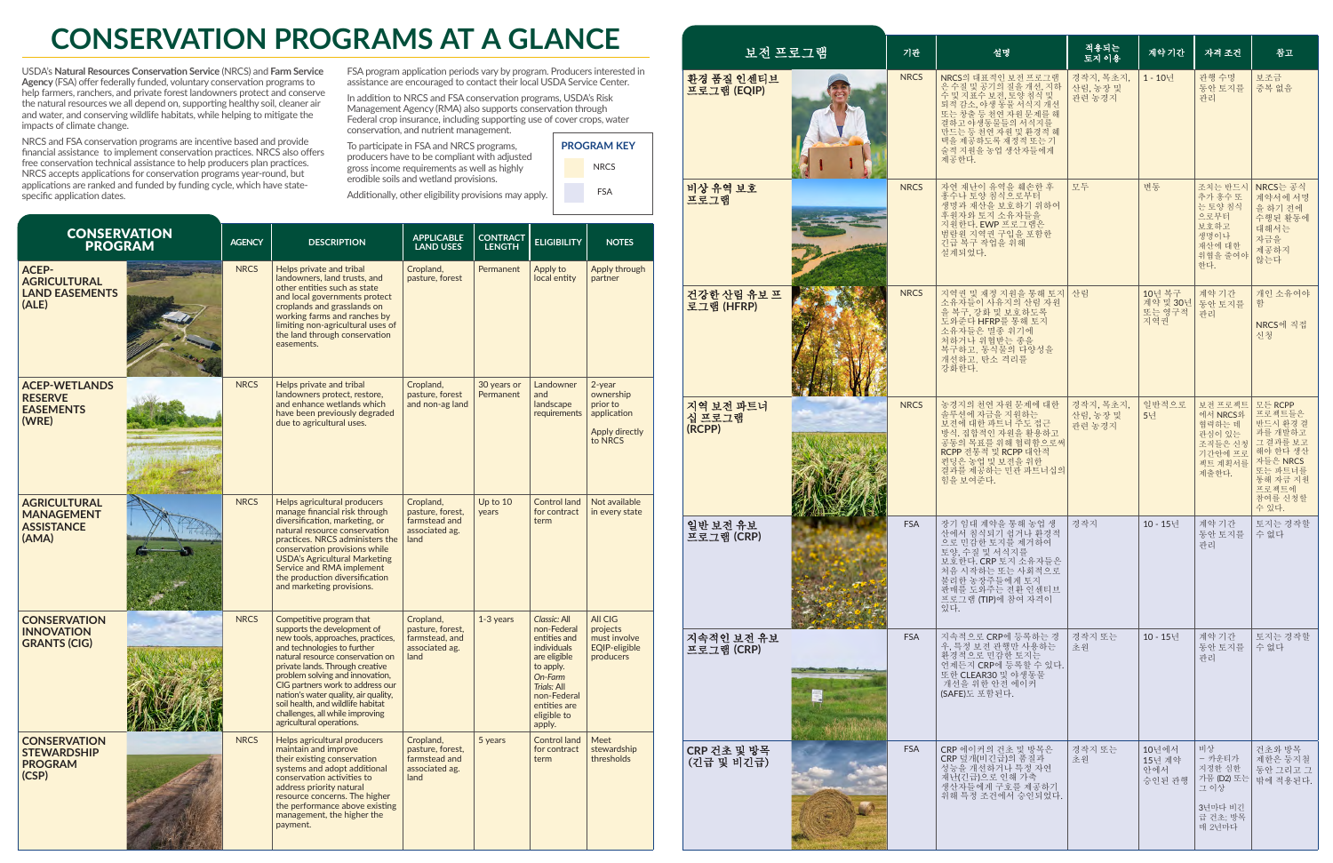| 보전 프로그램                      |  | 기관          | 설명                                                                                                                                                                                                                | 적용되는<br>토지 이용                   | 계약기간                                | 자격 조건                                                                             | 참고                                                                                                                              |
|------------------------------|--|-------------|-------------------------------------------------------------------------------------------------------------------------------------------------------------------------------------------------------------------|---------------------------------|-------------------------------------|-----------------------------------------------------------------------------------|---------------------------------------------------------------------------------------------------------------------------------|
| 환경 품질 인센티브<br>프로그램 (EQIP)    |  | <b>NRCS</b> | NRCS의 대표적인 보전 프로그램<br>은 수질 및 공기의 질을 개선, 지하<br>'수 및 지표수 보전, 토랑 정식 및<br>되적 감소, 야생 동물 서식지 개선<br>또는 창출 등 천연 자원 문제를 해<br>결하고 야생동물들의 서식지를<br>"<br>만드는 등 천연 자원 및 환경적 혜<br>택을 제공하도록 재정적 또는 기<br>술적 지원을 농업 생산자들에게<br>제공한다. | 경작지, 목초지,<br>산림, 농장 및<br>관련 농경지 | 1 - 10년                             | 관행 수명<br>동안 토지를<br>관리                                                             | 보조금<br>중복 없음                                                                                                                    |
| 비상 유역 보호<br>프로그램             |  | <b>NRCS</b> | 자연 재난이 유역을 훼손한 후<br>홍수나 토양 침식으로부터<br>생명과 재산을 보호하기 위하여<br>후원자와 토지 소유자들을<br>지원한다. EWP 프로그램은<br>범람원 지역권 구입을 포함한<br>긴급 복구 작업을 위해<br>설계되었다.                                                                            | 모두                              | 변동                                  | 조치는 반드시<br>추가 홍수 또<br>는 토양 침식<br>으로부터<br>보호하고<br>생명이나<br>재산에 대한<br>위협을 줄여야<br>한다. | NRCS는 공식<br>계약서에서명<br>을 하기 전에<br>수행된 활동에<br>대해서는<br>자금을<br>제공하지<br>않는다                                                          |
| 건강한 산림 유보 프<br>로그램 (HFRP)    |  | <b>NRCS</b> | 지역권 및 재정 지원을 통해 토지<br>소유자들이 사유지의 산림 자원<br>을 복구, 강화 및 보호하도록<br>도와준다 HFRP를 통해 토지<br>-<br>소유자들은 멸종 위기에<br>처하거나 위협받는 종을<br>복구하고, 동식물의 다양성을<br>개선하고, 탄소 격리를<br>강화한다.                                                   | 산림                              | 10년 복구<br>계약 및 30년<br>또는 영구적<br>지역권 | 계약기간<br>동안 토지를<br>관리                                                              | 개인 소유여야<br>함<br>NRCS에 직접<br>신청                                                                                                  |
| 지역 보전 파트너<br>십프로그램<br>(RCPP) |  | <b>NRCS</b> | 농경지의 천연 자원 문제에 대한<br>솔루션에 자금을 지원하는<br>보전에 대한 파트너 주도 접근<br>방식. 집합적인 자원을 활용하고<br>공동의 목표를 위해 협력함으로써<br>RCPP 전통적 및 RCPP 대안적<br>펀딩은 농업 및 보전을 위한<br>결과를 제공하는 민관 파트너십의<br>힘을 보여준다.                                       | 경작지, 목초지,<br>산림, 농장 및<br>관련 농경지 | 일반적으로<br>5년                         | 보전 프로젝트<br>에서 NRCS와<br>협력하는 데<br>관심이 있는<br>조직들은 신청<br>기간안에 프로<br>젝트 계획서를<br>제출한다. | 모든 RCPP<br>프로젝트들은<br>반드시 환경결<br>과를 개발하고<br>그 결과를 보고<br>해야 한다 생산<br>자들은 NRCS<br>또는 파트너를<br>통해 자금 지워<br>프로젝트에<br>참여를 신청할<br>수 있다. |
| 일반 보전 유보<br>프로그램 (CRP)       |  | <b>FSA</b>  | 장기 임대 계약을 통해 농업 생<br>산에서 침식되기 쉽거나 환경적<br>으로 민감한 토지를 제거하여<br>처음 시작하는 또는 사회적으로<br>불리한 농장주들에게 토지<br>판매를 도와주는 전환 인센티브<br>프로그램 (TIP)에 참여 자격이<br>있다.                                                                    | 경작지                             | 10 - 15년                            | 계약기간<br>동안 토지를<br>관리                                                              | 토지는 경작할<br>수없다                                                                                                                  |
| 지속적인 보전 유보<br>프로그램 (CRP)     |  | <b>FSA</b>  | 지속적으로 CRP에 등록하는 경<br>우, 특정 보전 관행만 사용하는<br>환경적으로 민감한 토지는<br>언제든지 CRP에 등록할 수 있다.<br>또한 CLEAR30 및 야생동물<br>개선을 위한 안전 에이커<br>(SAFE)도 포함된다.                                                                             | 경작지 또는<br>초원                    | 10 - 15년                            | 계약기간<br>동안 토지를<br>관리                                                              | 토지는 경작할<br>수없다                                                                                                                  |
| CRP 건초 및 방목<br>(긴급 및 비긴급)    |  | <b>FSA</b>  | CRP 에이커의 건초 및 방목은<br>CRP 덮개(비긴급)의 품질과<br>성능을 개선하거나 특정 자연<br>재난(긴급)으로 인해 가축<br>생산자들에게 구호를 제공하기<br>위해 특정 조건에서 승인되었다.                                                                                                | 경작지 또는<br>초워                    | 10년에서<br>15년 계약<br>안에서<br>승인된 관행    | 비상<br>$-$ 카운티가<br>지정한 심한<br>가뭄 (D2) 또는<br>그 이상<br>3년마다 비긴<br>급 건초; 방목<br>매 2년마다   | 건초와 방목<br>제한은 둥지철<br>동안 그리고 그<br>밖에 적용된다.                                                                                       |